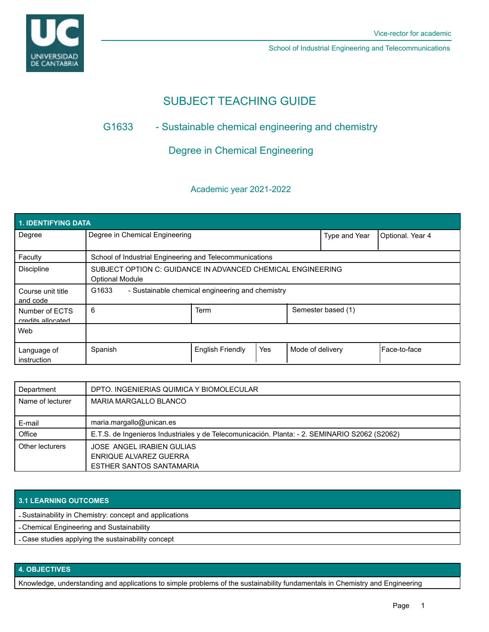

School of Industrial Engineering and Telecommunications

# SUBJECT TEACHING GUIDE

## G1633 - Sustainable chemical engineering and chemistry

## Degree in Chemical Engineering

### Academic year 2021-2022

| <b>1. IDENTIFYING DATA</b>          |                                                                                       |                         |     |                  |                    |                  |  |  |  |
|-------------------------------------|---------------------------------------------------------------------------------------|-------------------------|-----|------------------|--------------------|------------------|--|--|--|
| Degree                              | Degree in Chemical Engineering                                                        |                         |     |                  | Type and Year      | Optional. Year 4 |  |  |  |
| Faculty                             | School of Industrial Engineering and Telecommunications                               |                         |     |                  |                    |                  |  |  |  |
| <b>Discipline</b>                   | SUBJECT OPTION C: GUIDANCE IN ADVANCED CHEMICAL ENGINEERING<br><b>Optional Module</b> |                         |     |                  |                    |                  |  |  |  |
| Course unit title<br>and code       | G1633<br>- Sustainable chemical engineering and chemistry                             |                         |     |                  |                    |                  |  |  |  |
| Number of ECTS<br>credits allocated | 6                                                                                     | <b>Term</b>             |     |                  | Semester based (1) |                  |  |  |  |
| Web                                 |                                                                                       |                         |     |                  |                    |                  |  |  |  |
| Language of<br>instruction          | Spanish                                                                               | <b>English Friendly</b> | Yes | Mode of delivery |                    | l Face-to-face   |  |  |  |

| Department       | DPTO. INGENIERIAS QUIMICA Y BIOMOLECULAR                                                      |  |  |
|------------------|-----------------------------------------------------------------------------------------------|--|--|
| Name of lecturer | <b>MARIA MARGALLO BLANCO</b>                                                                  |  |  |
|                  |                                                                                               |  |  |
| E-mail           | maria.margallo@unican.es                                                                      |  |  |
| Office           | E.T.S. de Ingenieros Industriales y de Telecomunicación. Planta: - 2. SEMINARIO S2062 (S2062) |  |  |
| Other lecturers  | <b>JOSE ANGEL IRABIEN GULIAS</b>                                                              |  |  |
|                  | ENRIQUE ALVAREZ GUERRA                                                                        |  |  |
|                  | ESTHER SANTOS SANTAMARIA                                                                      |  |  |

#### **3.1 LEARNING OUTCOMES**

- Sustainability in Chemistry: concept and applications

- Chemical Engineering and Sustainability

- Case studies applying the sustainability concept

#### **4. OBJECTIVES**

Knowledge, understanding and applications to simple problems of the sustainability fundamentals in Chemistry and Engineering